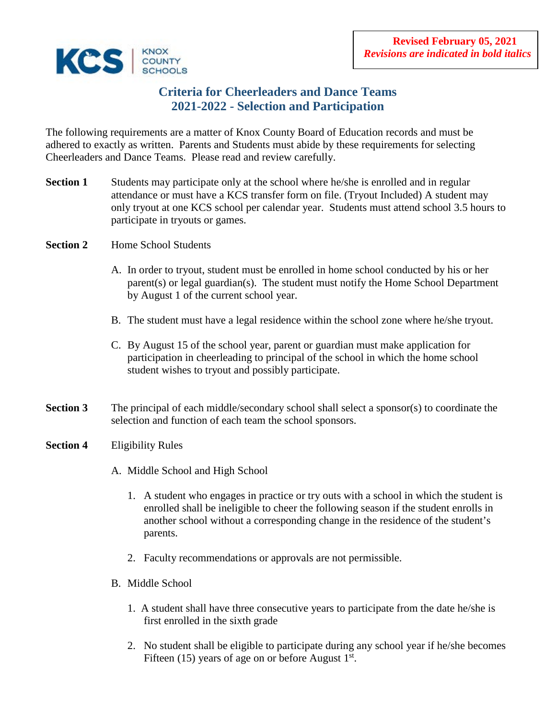

# **Criteria for Cheerleaders and Dance Teams 2021-2022 - Selection and Participation**

The following requirements are a matter of Knox County Board of Education records and must be adhered to exactly as written. Parents and Students must abide by these requirements for selecting Cheerleaders and Dance Teams. Please read and review carefully.

- **Section 1** Students may participate only at the school where he/she is enrolled and in regular attendance or must have a KCS transfer form on file. (Tryout Included) A student may only tryout at one KCS school per calendar year.Students must attend school 3.5 hours to participate in tryouts or games.
- **Section 2** Home School Students
	- A. In order to tryout, student must be enrolled in home school conducted by his or her parent(s) or legal guardian(s). The student must notify the Home School Department by August 1 of the current school year.
	- B. The student must have a legal residence within the school zone where he/she tryout.
	- C. By August 15 of the school year, parent or guardian must make application for participation in cheerleading to principal of the school in which the home school student wishes to tryout and possibly participate.
- **Section 3** The principal of each middle/secondary school shall select a sponsor(s) to coordinate the selection and function of each team the school sponsors.

### **Section 4** Eligibility Rules

- A. Middle School and High School
	- 1. A student who engages in practice or try outs with a school in which the student is enrolled shall be ineligible to cheer the following season if the student enrolls in another school without a corresponding change in the residence of the student's parents.
	- 2. Faculty recommendations or approvals are not permissible.
- B. Middle School
	- 1. A student shall have three consecutive years to participate from the date he/she is first enrolled in the sixth grade
	- 2. No student shall be eligible to participate during any school year if he/she becomes Fifteen (15) years of age on or before August  $1<sup>st</sup>$ .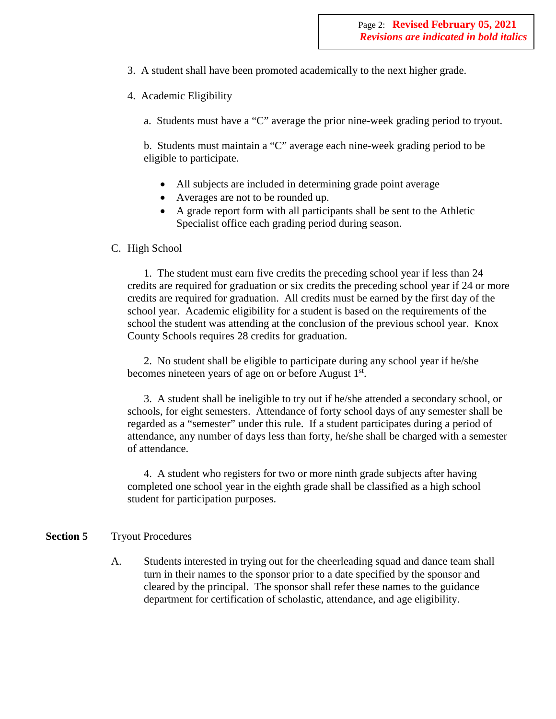- 3. A student shall have been promoted academically to the next higher grade.
- 4. Academic Eligibility
	- a. Students must have a "C" average the prior nine-week grading period to tryout.

b. Students must maintain a "C" average each nine-week grading period to be eligible to participate.

- All subjects are included in determining grade point average
- Averages are not to be rounded up.
- A grade report form with all participants shall be sent to the Athletic Specialist office each grading period during season.
- C. High School

1. The student must earn five credits the preceding school year if less than 24 credits are required for graduation or six credits the preceding school year if 24 or more credits are required for graduation. All credits must be earned by the first day of the school year. Academic eligibility for a student is based on the requirements of the school the student was attending at the conclusion of the previous school year. Knox County Schools requires 28 credits for graduation.

2. No student shall be eligible to participate during any school year if he/she becomes nineteen years of age on or before August 1<sup>st</sup>.

3. A student shall be ineligible to try out if he/she attended a secondary school, or schools, for eight semesters. Attendance of forty school days of any semester shall be regarded as a "semester" under this rule. If a student participates during a period of attendance, any number of days less than forty, he/she shall be charged with a semester of attendance.

4. A student who registers for two or more ninth grade subjects after having completed one school year in the eighth grade shall be classified as a high school student for participation purposes.

#### **Section 5** Tryout Procedures

A. Students interested in trying out for the cheerleading squad and dance team shall turn in their names to the sponsor prior to a date specified by the sponsor and cleared by the principal. The sponsor shall refer these names to the guidance department for certification of scholastic, attendance, and age eligibility.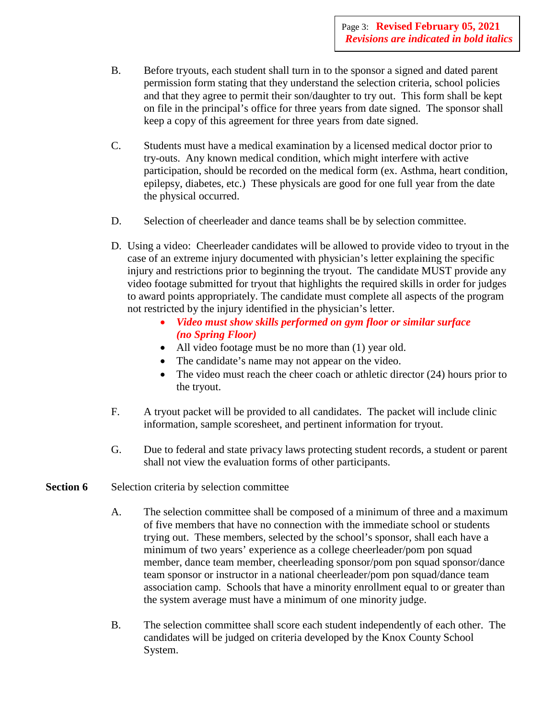- B. Before tryouts, each student shall turn in to the sponsor a signed and dated parent permission form stating that they understand the selection criteria, school policies and that they agree to permit their son/daughter to try out. This form shall be kept on file in the principal's office for three years from date signed. The sponsor shall keep a copy of this agreement for three years from date signed.
- C. Students must have a medical examination by a licensed medical doctor prior to try-outs. Any known medical condition, which might interfere with active participation, should be recorded on the medical form (ex. Asthma, heart condition, epilepsy, diabetes, etc.) These physicals are good for one full year from the date the physical occurred.
- D. Selection of cheerleader and dance teams shall be by selection committee.
- D. Using a video: Cheerleader candidates will be allowed to provide video to tryout in the case of an extreme injury documented with physician's letter explaining the specific injury and restrictions prior to beginning the tryout. The candidate MUST provide any video footage submitted for tryout that highlights the required skills in order for judges to award points appropriately. The candidate must complete all aspects of the program not restricted by the injury identified in the physician's letter.
	- *Video must show skills performed on gym floor or similar surface (no Spring Floor)*
	- All video footage must be no more than (1) year old.
	- The candidate's name may not appear on the video.
	- The video must reach the cheer coach or athletic director (24) hours prior to the tryout.
- F. A tryout packet will be provided to all candidates. The packet will include clinic information, sample scoresheet, and pertinent information for tryout.
- G. Due to federal and state privacy laws protecting student records, a student or parent shall not view the evaluation forms of other participants.

### **Section 6** Selection criteria by selection committee

- A. The selection committee shall be composed of a minimum of three and a maximum of five members that have no connection with the immediate school or students trying out. These members, selected by the school's sponsor, shall each have a minimum of two years' experience as a college cheerleader/pom pon squad member, dance team member, cheerleading sponsor/pom pon squad sponsor/dance team sponsor or instructor in a national cheerleader/pom pon squad/dance team association camp. Schools that have a minority enrollment equal to or greater than the system average must have a minimum of one minority judge.
- B. The selection committee shall score each student independently of each other. The candidates will be judged on criteria developed by the Knox County School System.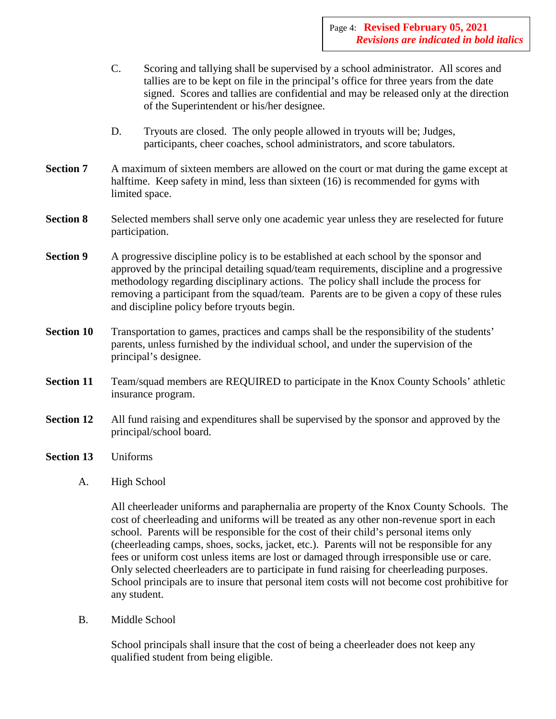- C. Scoring and tallying shall be supervised by a school administrator. All scores and tallies are to be kept on file in the principal's office for three years from the date signed. Scores and tallies are confidential and may be released only at the direction of the Superintendent or his/her designee.
- D. Tryouts are closed. The only people allowed in tryouts will be; Judges, participants, cheer coaches, school administrators, and score tabulators.
- **Section 7** A maximum of sixteen members are allowed on the court or mat during the game except at halftime. Keep safety in mind, less than sixteen (16) is recommended for gyms with limited space.
- **Section 8** Selected members shall serve only one academic year unless they are reselected for future participation.
- **Section 9** A progressive discipline policy is to be established at each school by the sponsor and approved by the principal detailing squad/team requirements, discipline and a progressive methodology regarding disciplinary actions. The policy shall include the process for removing a participant from the squad/team. Parents are to be given a copy of these rules and discipline policy before tryouts begin.
- **Section 10** Transportation to games, practices and camps shall be the responsibility of the students' parents, unless furnished by the individual school, and under the supervision of the principal's designee.
- **Section 11** Team/squad members are REQUIRED to participate in the Knox County Schools' athletic insurance program.
- **Section 12** All fund raising and expenditures shall be supervised by the sponsor and approved by the principal/school board.
- **Section 13** Uniforms
	- A. High School

All cheerleader uniforms and paraphernalia are property of the Knox County Schools. The cost of cheerleading and uniforms will be treated as any other non-revenue sport in each school. Parents will be responsible for the cost of their child's personal items only (cheerleading camps, shoes, socks, jacket, etc.). Parents will not be responsible for any fees or uniform cost unless items are lost or damaged through irresponsible use or care. Only selected cheerleaders are to participate in fund raising for cheerleading purposes. School principals are to insure that personal item costs will not become cost prohibitive for any student.

B. Middle School

School principals shall insure that the cost of being a cheerleader does not keep any qualified student from being eligible.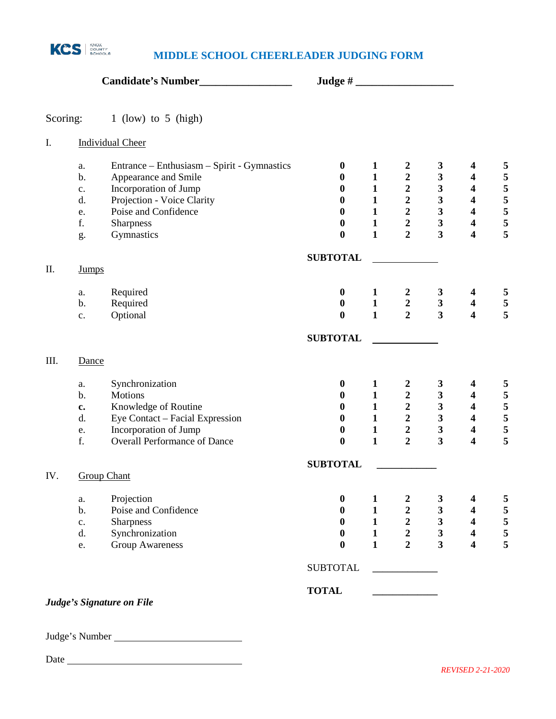

## **MIDDLE SCHOOL CHEERLEADER JUDGING FORM**

| Scoring: | 1 (low) to 5 (high)                               |                  |              |                         |                         |                         |                                                                                                                                                                                                                                                                                                                                                                                               |
|----------|---------------------------------------------------|------------------|--------------|-------------------------|-------------------------|-------------------------|-----------------------------------------------------------------------------------------------------------------------------------------------------------------------------------------------------------------------------------------------------------------------------------------------------------------------------------------------------------------------------------------------|
| I.       | <b>Individual Cheer</b>                           |                  |              |                         |                         |                         |                                                                                                                                                                                                                                                                                                                                                                                               |
|          | Entrance – Enthusiasm – Spirit - Gymnastics<br>a. | $\bf{0}$         | $\mathbf{1}$ | $\boldsymbol{2}$        | 3                       |                         |                                                                                                                                                                                                                                                                                                                                                                                               |
|          | Appearance and Smile<br>b.                        | $\bf{0}$         | $\mathbf{1}$ | $\boldsymbol{2}$        | 3                       | $\overline{\mathbf{4}}$ | 5                                                                                                                                                                                                                                                                                                                                                                                             |
|          | Incorporation of Jump<br>$\mathbf{c}$ .           | $\bf{0}$         | $\mathbf{1}$ | $\frac{2}{2}$           | 3                       | $\overline{\mathbf{4}}$ | 5                                                                                                                                                                                                                                                                                                                                                                                             |
|          | Projection - Voice Clarity<br>d.                  | $\bf{0}$         | $\mathbf{1}$ |                         | $\overline{\mathbf{3}}$ | $\overline{\mathbf{4}}$ | 5                                                                                                                                                                                                                                                                                                                                                                                             |
|          | Poise and Confidence<br>e.                        | $\boldsymbol{0}$ | $\mathbf{1}$ | $\boldsymbol{2}$        | $\overline{\mathbf{3}}$ | $\overline{\mathbf{4}}$ | 5                                                                                                                                                                                                                                                                                                                                                                                             |
|          | f.<br>Sharpness                                   | $\boldsymbol{0}$ | $\mathbf{1}$ | $\boldsymbol{2}$        | 3                       | $\boldsymbol{4}$        | 5                                                                                                                                                                                                                                                                                                                                                                                             |
|          | Gymnastics<br>g.                                  | $\boldsymbol{0}$ | $\mathbf{1}$ | $\overline{2}$          | $\overline{\mathbf{3}}$ |                         |                                                                                                                                                                                                                                                                                                                                                                                               |
|          |                                                   | <b>SUBTOTAL</b>  |              |                         |                         |                         |                                                                                                                                                                                                                                                                                                                                                                                               |
| Π.       | <b>Jumps</b>                                      |                  |              |                         |                         |                         | $\boldsymbol{4}$<br>5<br>5<br>$\overline{\mathbf{4}}$<br>5<br>$\overline{\mathbf{4}}$<br>$\boldsymbol{4}$<br>$\overline{\mathbf{4}}$<br>4<br>$\overline{\mathbf{4}}$<br>$\boldsymbol{4}$<br>$\overline{\mathbf{4}}$<br>$\boldsymbol{4}$<br>5<br>$\overline{\mathbf{4}}$<br>4<br>$\overline{\mathbf{4}}$<br>$\overline{\mathbf{4}}$<br>$\overline{\mathbf{4}}$<br>5<br>$\overline{\mathbf{4}}$ |
|          | Required<br>a.                                    | $\boldsymbol{0}$ | $\mathbf{1}$ | $\boldsymbol{2}$        | $\mathbf{3}$            |                         |                                                                                                                                                                                                                                                                                                                                                                                               |
|          | Required<br>b.                                    | $\boldsymbol{0}$ | $\mathbf{1}$ | $\boldsymbol{2}$        | $\mathbf{3}$            |                         | 5                                                                                                                                                                                                                                                                                                                                                                                             |
|          | Optional<br>c.                                    | $\boldsymbol{0}$ | $\mathbf{1}$ | $\overline{2}$          | $\overline{\mathbf{3}}$ |                         | 5                                                                                                                                                                                                                                                                                                                                                                                             |
|          |                                                   | <b>SUBTOTAL</b>  |              |                         |                         |                         |                                                                                                                                                                                                                                                                                                                                                                                               |
| III.     | Dance                                             |                  |              |                         |                         |                         |                                                                                                                                                                                                                                                                                                                                                                                               |
|          | Synchronization<br>a.                             | $\bf{0}$         | $\mathbf{1}$ | $\boldsymbol{2}$        | 3                       |                         | 5                                                                                                                                                                                                                                                                                                                                                                                             |
|          | Motions<br>$\mathbf b$ .                          | $\boldsymbol{0}$ | $\mathbf{1}$ | $\boldsymbol{2}$        | 3                       |                         | 5                                                                                                                                                                                                                                                                                                                                                                                             |
|          | Knowledge of Routine<br>c.                        | $\bf{0}$         | $\mathbf{1}$ | $\overline{\mathbf{c}}$ | $\overline{\mathbf{3}}$ |                         | 5                                                                                                                                                                                                                                                                                                                                                                                             |
|          | Eye Contact - Facial Expression<br>d.             | $\bf{0}$         | $\mathbf{1}$ | $\overline{\mathbf{c}}$ | $\mathbf{3}$            |                         | 5                                                                                                                                                                                                                                                                                                                                                                                             |
|          | Incorporation of Jump<br>e.                       | $\boldsymbol{0}$ | $\mathbf{1}$ | $\boldsymbol{2}$        | $\mathbf{3}$            |                         | 5                                                                                                                                                                                                                                                                                                                                                                                             |
|          | <b>Overall Performance of Dance</b><br>f.         | $\boldsymbol{0}$ | $\mathbf{1}$ | $\overline{2}$          | $\overline{\mathbf{3}}$ |                         |                                                                                                                                                                                                                                                                                                                                                                                               |
|          |                                                   | <b>SUBTOTAL</b>  |              |                         |                         |                         |                                                                                                                                                                                                                                                                                                                                                                                               |
| IV.      | <b>Group Chant</b>                                |                  |              |                         |                         |                         |                                                                                                                                                                                                                                                                                                                                                                                               |
|          | Projection<br>a.                                  | $\boldsymbol{0}$ | 1            | $\boldsymbol{2}$        | 3                       |                         | 5                                                                                                                                                                                                                                                                                                                                                                                             |
|          | Poise and Confidence<br>b.                        | 0                | $\mathbf{1}$ | $\boldsymbol{2}$        | 3                       |                         | 5                                                                                                                                                                                                                                                                                                                                                                                             |
|          | <b>Sharpness</b><br>$\mathbf{c}.$                 | 0                | $\mathbf{1}$ | $\boldsymbol{2}$        | 3                       |                         | 5                                                                                                                                                                                                                                                                                                                                                                                             |
|          | Synchronization<br>d.                             | $\bf{0}$         | $\mathbf{1}$ | $\overline{2}$          | $\mathbf{3}$            |                         | 5                                                                                                                                                                                                                                                                                                                                                                                             |
|          | <b>Group Awareness</b><br>e.                      | $\boldsymbol{0}$ | $\mathbf{1}$ | $\overline{2}$          | $\overline{\mathbf{3}}$ |                         |                                                                                                                                                                                                                                                                                                                                                                                               |
|          |                                                   | <b>SUBTOTAL</b>  |              |                         |                         |                         |                                                                                                                                                                                                                                                                                                                                                                                               |
|          |                                                   | <b>TOTAL</b>     |              |                         |                         |                         |                                                                                                                                                                                                                                                                                                                                                                                               |
|          | Judge's Signature on File                         |                  |              |                         |                         |                         |                                                                                                                                                                                                                                                                                                                                                                                               |

Judge's Number

Date